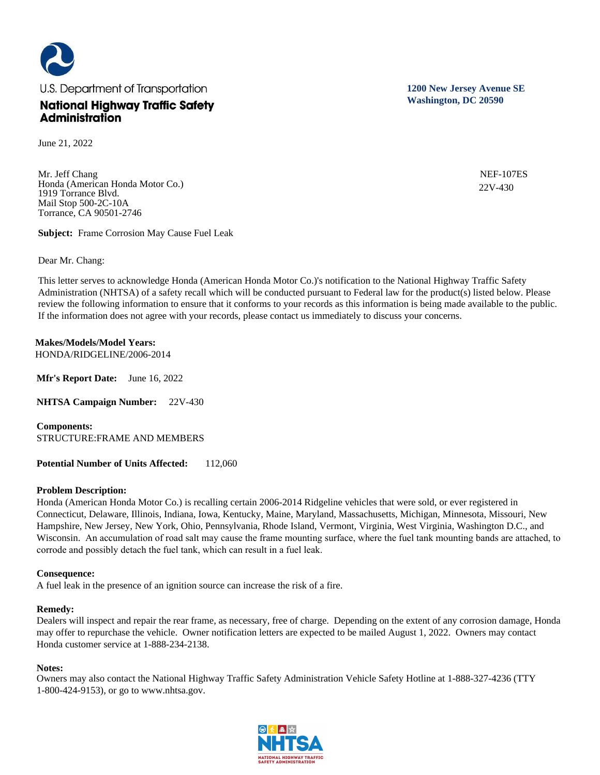

June 21, 2022

Mr. Jeff Chang Honda (American Honda Motor Co.) 1919 Torrance Blvd. Mail Stop 500-2C-10A Torrance, CA 90501-2746

**Subject:** Frame Corrosion May Cause Fuel Leak

Dear Mr. Chang:

This letter serves to acknowledge Honda (American Honda Motor Co.)'s notification to the National Highway Traffic Safety Administration (NHTSA) of a safety recall which will be conducted pursuant to Federal law for the product(s) listed below. Please review the following information to ensure that it conforms to your records as this information is being made available to the public. If the information does not agree with your records, please contact us immediately to discuss your concerns.

**Makes/Models/Model Years:**  HONDA/RIDGELINE/2006-2014

**Mfr's Report Date:** June 16, 2022

**NHTSA Campaign Number:** 22V-430

**Components:**  STRUCTURE:FRAME AND MEMBERS

**Potential Number of Units Affected:** 112,060

## **Problem Description:**

Honda (American Honda Motor Co.) is recalling certain 2006-2014 Ridgeline vehicles that were sold, or ever registered in Connecticut, Delaware, Illinois, Indiana, Iowa, Kentucky, Maine, Maryland, Massachusetts, Michigan, Minnesota, Missouri, New Hampshire, New Jersey, New York, Ohio, Pennsylvania, Rhode Island, Vermont, Virginia, West Virginia, Washington D.C., and Wisconsin. An accumulation of road salt may cause the frame mounting surface, where the fuel tank mounting bands are attached, to corrode and possibly detach the fuel tank, which can result in a fuel leak.

## **Consequence:**

A fuel leak in the presence of an ignition source can increase the risk of a fire.

## **Remedy:**

Dealers will inspect and repair the rear frame, as necessary, free of charge. Depending on the extent of any corrosion damage, Honda may offer to repurchase the vehicle. Owner notification letters are expected to be mailed August 1, 2022. Owners may contact Honda customer service at 1-888-234-2138.

## **Notes:**

Owners may also contact the National Highway Traffic Safety Administration Vehicle Safety Hotline at 1-888-327-4236 (TTY 1-800-424-9153), or go to www.nhtsa.gov.

**1200 New Jersey Avenue SE Washington, DC 20590**

> NEF-107ES 22V-430